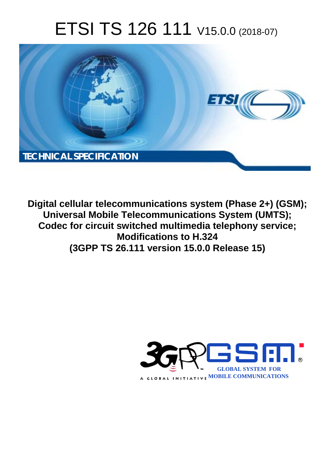# ETSI TS 126 111 V15.0.0 (2018-07)



**Digital cellular telecommunications system (Phase 2+) (GSM); Universal Mobile Telecommunications System (UMTS); Codec for circuit switched multimedia telephony service; Modifications to H.324 (3GPP TS 26.111 version 15.0.0 Release 15)** 

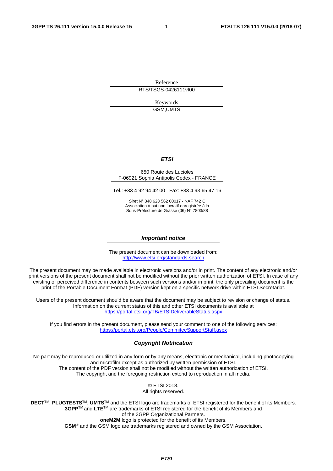Reference RTS/TSGS-0426111vf00

> Keywords GSM,UMTS

#### *ETSI*

#### 650 Route des Lucioles F-06921 Sophia Antipolis Cedex - FRANCE

Tel.: +33 4 92 94 42 00 Fax: +33 4 93 65 47 16

Siret N° 348 623 562 00017 - NAF 742 C Association à but non lucratif enregistrée à la Sous-Préfecture de Grasse (06) N° 7803/88

#### *Important notice*

The present document can be downloaded from: <http://www.etsi.org/standards-search>

The present document may be made available in electronic versions and/or in print. The content of any electronic and/or print versions of the present document shall not be modified without the prior written authorization of ETSI. In case of any existing or perceived difference in contents between such versions and/or in print, the only prevailing document is the print of the Portable Document Format (PDF) version kept on a specific network drive within ETSI Secretariat.

Users of the present document should be aware that the document may be subject to revision or change of status. Information on the current status of this and other ETSI documents is available at <https://portal.etsi.org/TB/ETSIDeliverableStatus.aspx>

If you find errors in the present document, please send your comment to one of the following services: <https://portal.etsi.org/People/CommiteeSupportStaff.aspx>

#### *Copyright Notification*

No part may be reproduced or utilized in any form or by any means, electronic or mechanical, including photocopying and microfilm except as authorized by written permission of ETSI. The content of the PDF version shall not be modified without the written authorization of ETSI. The copyright and the foregoing restriction extend to reproduction in all media.

> © ETSI 2018. All rights reserved.

**DECT**TM, **PLUGTESTS**TM, **UMTS**TM and the ETSI logo are trademarks of ETSI registered for the benefit of its Members. **3GPP**TM and **LTE**TM are trademarks of ETSI registered for the benefit of its Members and of the 3GPP Organizational Partners. **oneM2M** logo is protected for the benefit of its Members.

**GSM**® and the GSM logo are trademarks registered and owned by the GSM Association.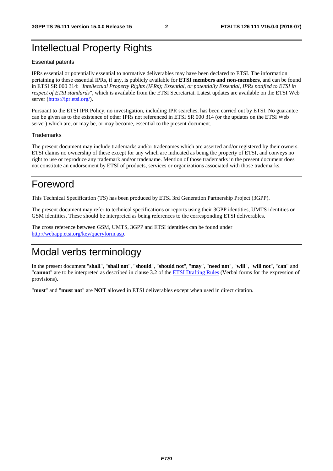### Intellectual Property Rights

#### Essential patents

IPRs essential or potentially essential to normative deliverables may have been declared to ETSI. The information pertaining to these essential IPRs, if any, is publicly available for **ETSI members and non-members**, and can be found in ETSI SR 000 314: *"Intellectual Property Rights (IPRs); Essential, or potentially Essential, IPRs notified to ETSI in respect of ETSI standards"*, which is available from the ETSI Secretariat. Latest updates are available on the ETSI Web server ([https://ipr.etsi.org/\)](https://ipr.etsi.org/).

Pursuant to the ETSI IPR Policy, no investigation, including IPR searches, has been carried out by ETSI. No guarantee can be given as to the existence of other IPRs not referenced in ETSI SR 000 314 (or the updates on the ETSI Web server) which are, or may be, or may become, essential to the present document.

#### **Trademarks**

The present document may include trademarks and/or tradenames which are asserted and/or registered by their owners. ETSI claims no ownership of these except for any which are indicated as being the property of ETSI, and conveys no right to use or reproduce any trademark and/or tradename. Mention of those trademarks in the present document does not constitute an endorsement by ETSI of products, services or organizations associated with those trademarks.

### Foreword

This Technical Specification (TS) has been produced by ETSI 3rd Generation Partnership Project (3GPP).

The present document may refer to technical specifications or reports using their 3GPP identities, UMTS identities or GSM identities. These should be interpreted as being references to the corresponding ETSI deliverables.

The cross reference between GSM, UMTS, 3GPP and ETSI identities can be found under [http://webapp.etsi.org/key/queryform.asp.](http://webapp.etsi.org/key/queryform.asp)

### Modal verbs terminology

In the present document "**shall**", "**shall not**", "**should**", "**should not**", "**may**", "**need not**", "**will**", "**will not**", "**can**" and "**cannot**" are to be interpreted as described in clause 3.2 of the [ETSI Drafting Rules](https://portal.etsi.org/Services/editHelp!/Howtostart/ETSIDraftingRules.aspx) (Verbal forms for the expression of provisions).

"**must**" and "**must not**" are **NOT** allowed in ETSI deliverables except when used in direct citation.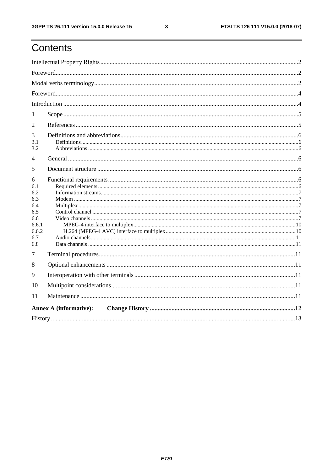# Contents

| 1                                                                           |                               |  |  |  |  |  |
|-----------------------------------------------------------------------------|-------------------------------|--|--|--|--|--|
| 2                                                                           |                               |  |  |  |  |  |
| 3<br>3.1<br>3.2                                                             |                               |  |  |  |  |  |
| 4                                                                           |                               |  |  |  |  |  |
| 5                                                                           |                               |  |  |  |  |  |
| 6<br>6.1<br>6.2<br>6.3<br>6.4<br>6.5<br>6.6<br>6.6.1<br>6.6.2<br>6.7<br>6.8 |                               |  |  |  |  |  |
| 7                                                                           |                               |  |  |  |  |  |
| 8                                                                           |                               |  |  |  |  |  |
| 9                                                                           |                               |  |  |  |  |  |
| 10                                                                          |                               |  |  |  |  |  |
| 11                                                                          |                               |  |  |  |  |  |
|                                                                             | <b>Annex A (informative):</b> |  |  |  |  |  |
|                                                                             |                               |  |  |  |  |  |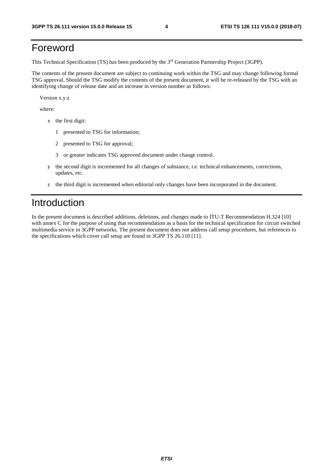### Foreword

This Technical Specification (TS) has been produced by the 3rd Generation Partnership Project (3GPP).

The contents of the present document are subject to continuing work within the TSG and may change following formal TSG approval. Should the TSG modify the contents of the present document, it will be re-released by the TSG with an identifying change of release date and an increase in version number as follows:

Version x.y.z

where:

- x the first digit:
	- 1 presented to TSG for information;
	- 2 presented to TSG for approval;
	- 3 or greater indicates TSG approved document under change control.
- y the second digit is incremented for all changes of substance, i.e. technical enhancements, corrections, updates, etc.
- z the third digit is incremented when editorial only changes have been incorporated in the document.

#### Introduction

In the present document is described additions, deletions, and changes made to ITU-T Recommendation H.324 [10] with annex C for the purpose of using that recommendation as a basis for the technical specification for circuit switched multimedia service in 3GPP networks. The present document does not address call setup procedures, but references to the specifications which cover call setup are found in 3GPP TS 26.110 [11].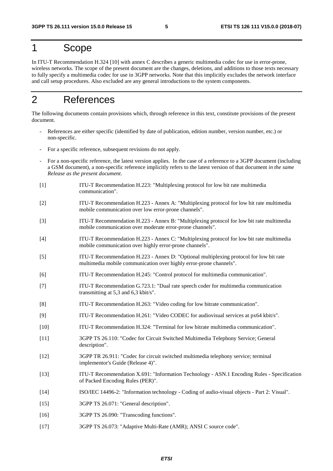#### 1 Scope

In ITU-T Recommendation H.324 [10] with annex C describes a generic multimedia codec for use in error-prone, wireless networks. The scope of the present document are the changes, deletions, and additions to those texts necessary to fully specify a multimedia codec for use in 3GPP networks. Note that this implicitly excludes the network interface and call setup procedures. Also excluded are any general introductions to the system components.

#### 2 References

The following documents contain provisions which, through reference in this text, constitute provisions of the present document.

- References are either specific (identified by date of publication, edition number, version number, etc.) or non-specific.
- For a specific reference, subsequent revisions do not apply.
- For a non-specific reference, the latest version applies. In the case of a reference to a 3GPP document (including a GSM document), a non-specific reference implicitly refers to the latest version of that document *in the same Release as the present document*.
- [1] ITU-T Recommendation H.223: "Multiplexing protocol for low bit rate multimedia communication".
- [2] ITU-T Recommendation H.223 Annex A: "Multiplexing protocol for low bit rate multimedia mobile communication over low error-prone channels".
- [3] ITU-T Recommendation H.223 Annex B: "Multiplexing protocol for low bit rate multimedia mobile communication over moderate error-prone channels".
- [4] ITU-T Recommendation H.223 Annex C: "Multiplexing protocol for low bit rate multimedia mobile communication over highly error-prone channels".
- [5] ITU-T Recommendation H.223 Annex D: "Optional multiplexing protocol for low bit rate multimedia mobile communication over highly error-prone channels".
- [6] ITU-T Recommendation H.245: "Control protocol for multimedia communication".
- [7] ITU-T Recommendation G.723.1: "Dual rate speech coder for multimedia communication transmitting at 5,3 and 6,3 kbit/s".
- [8] ITU-T Recommendation H.263: "Video coding for low bitrate communication".
- [9] ITU-T Recommendation H.261: "Video CODEC for audiovisual services at px64 kbit/s".
- [10] ITU-T Recommendation H.324: "Terminal for low bitrate multimedia communication".
- [11] 3GPP TS 26.110: "Codec for Circuit Switched Multimedia Telephony Service; General description".
- [12] 3GPP TR 26.911: "Codec for circuit switched multimedia telephony service; terminal implementor's Guide (Release 4)".
- [13] ITU-T Recommendation X.691: "Information Technology ASN.1 Encoding Rules Specification of Packed Encoding Rules (PER)".
- [14] ISO/IEC 14496-2: "Information technology Coding of audio-visual objects Part 2: Visual".
- [15] 3GPP TS 26.071: "General description".
- [16] 3GPP TS 26.090: "Transcoding functions".
- [17] 3GPP TS 26.073: "Adaptive Multi-Rate (AMR); ANSI C source code".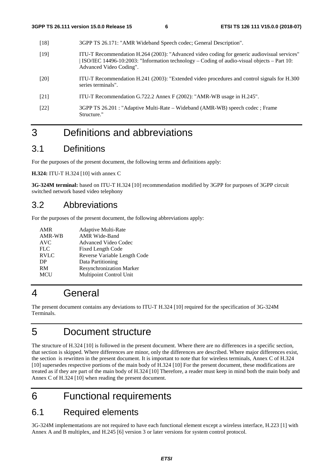- [18] 3GPP TS 26.171: "AMR Wideband Speech codec; General Description".
- [19] ITU-T Recommendation H.264 (2003): "Advanced video coding for generic audiovisual services" | ISO/IEC 14496-10:2003: "Information technology – Coding of audio-visual objects – Part 10: Advanced Video Coding".
- [20] ITU-T Recommendation H.241 (2003): "Extended video procedures and control signals for H.300 series terminals".
- [21] ITU-T Recommendation G.722.2 Annex F (2002): "AMR-WB usage in H.245".
- [22] 3GPP TS 26.201 : "Adaptive Multi-Rate Wideband (AMR-WB) speech codec ; Frame Structure."

# 3 Definitions and abbreviations

#### 3.1 Definitions

For the purposes of the present document, the following terms and definitions apply:

**H.324:** ITU-T H.324 [10] with annex C

**3G-324M terminal:** based on ITU-T H.324 [10] recommendation modified by 3GPP for purposes of 3GPP circuit switched network based video telephony

#### 3.2 Abbreviations

For the purposes of the present document, the following abbreviations apply:

| AMR<br>AMR-WB<br><b>AVC</b> | <b>Adaptive Multi-Rate</b><br><b>AMR Wide-Band</b><br><b>Advanced Video Codec</b> |
|-----------------------------|-----------------------------------------------------------------------------------|
| <b>FLC</b>                  | <b>Fixed Length Code</b>                                                          |
| <b>RVLC</b>                 | Reverse Variable Length Code                                                      |
| DP                          | Data Partitioning                                                                 |
| RM                          | <b>Resynchronization Marker</b>                                                   |
| <b>MCU</b>                  | Multipoint Control Unit                                                           |
|                             |                                                                                   |

# 4 General

The present document contains any deviations to ITU-T H.324 [10] required for the specification of 3G-324M Terminals.

# 5 Document structure

The structure of H.324 [10] is followed in the present document. Where there are no differences in a specific section, that section is skipped. Where differences are minor, only the differences are described. Where major differences exist, the section is rewritten in the present document. It is important to note that for wireless terminals, Annex C of H.324 [10] supersedes respective portions of the main body of H.324 [10] For the present document, these modifications are treated as if they are part of the main body of H.324 [10] Therefore, a reader must keep in mind both the main body and Annex C of H.324 [10] when reading the present document.

# 6 Functional requirements

### 6.1 Required elements

3G-324M implementations are not required to have each functional element except a wireless interface, H.223 [1] with Annex A and B multiplex, and H.245 [6] version 3 or later versions for system control protocol.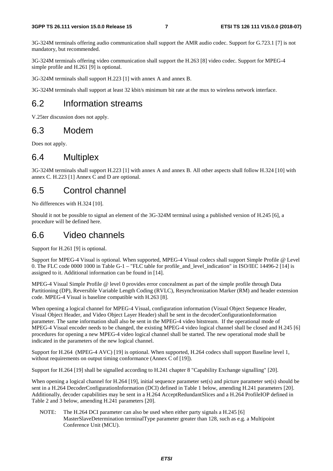3G-324M terminals offering audio communication shall support the AMR audio codec. Support for G.723.1 [7] is not mandatory, but recommended.

3G-324M terminals offering video communication shall support the H.263 [8] video codec. Support for MPEG-4 simple profile and H.261 [9] is optional.

3G-324M terminals shall support H.223 [1] with annex A and annex B.

3G-324M terminals shall support at least 32 kbit/s minimum bit rate at the mux to wireless network interface.

#### 6.2 Information streams

V.25ter discussion does not apply.

#### 6.3 Modem

Does not apply.

#### 6.4 Multiplex

3G-324M terminals shall support H.223 [1] with annex A and annex B. All other aspects shall follow H.324 [10] with annex C. H.223 [1] Annex C and D are optional.

#### 6.5 Control channel

No differences with H.324 [10].

Should it not be possible to signal an element of the 3G-324M terminal using a published version of H.245 [6], a procedure will be defined here.

#### 6.6 Video channels

Support for H.261 [9] is optional.

Support for MPEG-4 Visual is optional. When supported, MPEG-4 Visual codecs shall support Simple Profile @ Level 0. The FLC code 0000 1000 in Table G-1 – "FLC table for profile and level indication" in ISO/IEC 14496-2 [14] is assigned to it. Additional information can be found in [14].

MPEG-4 Visual Simple Profile @ level 0 provides error concealment as part of the simple profile through Data Partitioning (DP), Reversible Variable Length Coding (RVLC), Resynchronization Marker (RM) and header extension code. MPEG-4 Visual is baseline compatible with H.263 [8].

When opening a logical channel for MPEG-4 Visual, configuration information (Visual Object Sequence Header, Visual Object Header, and Video Object Layer Header) shall be sent in the decoderConfigurationInformation parameter. The same information shall also be sent in the MPEG-4 video bitstream. If the operational mode of MPEG-4 Visual encoder needs to be changed, the existing MPEG-4 video logical channel shall be closed and H.245 [6] procedures for opening a new MPEG-4 video logical channel shall be started. The new operational mode shall be indicated in the parameters of the new logical channel.

Support for H.264 (MPEG-4 AVC) [19] is optional. When supported, H.264 codecs shall support Baseline level 1, without requirements on output timing conformance (Annex C of [19]).

Support for H.264 [19] shall be signalled according to H.241 chapter 8 "Capability Exchange signalling" [20].

When opening a logical channel for H.264 [19], initial sequence parameter set(s) and picture parameter set(s) should be sent in a H.264 DecoderConfigurationInformation (DCI) defined in Table 1 below, amending H.241 parameters [20]. Additionally, decoder capabilities may be sent in a H.264 AcceptRedundantSlices and a H.264 ProfileIOP defined in Table 2 and 3 below, amending H.241 parameters [20].

NOTE: The H.264 DCI parameter can also be used when either party signals a H.245 [6] MasterSlaveDetermination terminalType parameter greater than 128, such as e.g. a Multipoint Conference Unit (MCU).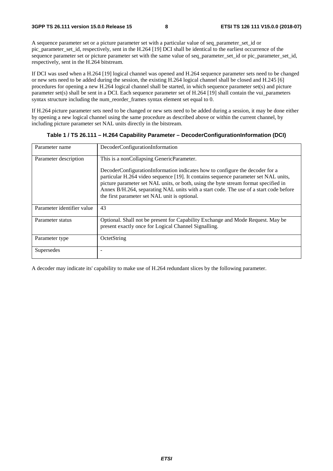A sequence parameter set or a picture parameter set with a particular value of seq parameter set id or pic\_parameter\_set\_id, respectively, sent in the H.264 [19] DCI shall be identical to the earliest occurrence of the sequence parameter set or picture parameter set with the same value of seq\_parameter\_set\_id or pic\_parameter\_set\_id, respectively, sent in the H.264 bitstream.

If DCI was used when a H.264 [19] logical channel was opened and H.264 sequence parameter sets need to be changed or new sets need to be added during the session, the existing H.264 logical channel shall be closed and H.245 [6] procedures for opening a new H.264 logical channel shall be started, in which sequence parameter set(s) and picture parameter set(s) shall be sent in a DCI. Each sequence parameter set of H.264 [19] shall contain the vui\_parameters syntax structure including the num\_reorder\_frames syntax element set equal to 0.

If H.264 picture parameter sets need to be changed or new sets need to be added during a session, it may be done either by opening a new logical channel using the same procedure as described above or within the current channel, by including picture parameter set NAL units directly in the bitstream.

| Parameter name             | DecoderConfigurationInformation                                                                                                                                                                                                                                                                                                                                                                      |  |  |  |  |
|----------------------------|------------------------------------------------------------------------------------------------------------------------------------------------------------------------------------------------------------------------------------------------------------------------------------------------------------------------------------------------------------------------------------------------------|--|--|--|--|
| Parameter description      | This is a nonCollapsing GenericParameter.                                                                                                                                                                                                                                                                                                                                                            |  |  |  |  |
|                            | DecoderConfigurationInformation indicates how to configure the decoder for a<br>particular H.264 video sequence [19]. It contains sequence parameter set NAL units,<br>picture parameter set NAL units, or both, using the byte stream format specified in<br>Annex B/H.264, separating NAL units with a start code. The use of a start code before<br>the first parameter set NAL unit is optional. |  |  |  |  |
| Parameter identifier value | 43                                                                                                                                                                                                                                                                                                                                                                                                   |  |  |  |  |
| Parameter status           | Optional. Shall not be present for Capability Exchange and Mode Request. May be<br>present exactly once for Logical Channel Signalling.                                                                                                                                                                                                                                                              |  |  |  |  |
| Parameter type             | OctetString                                                                                                                                                                                                                                                                                                                                                                                          |  |  |  |  |
| Supersedes                 |                                                                                                                                                                                                                                                                                                                                                                                                      |  |  |  |  |

#### **Table 1 / TS 26.111 – H.264 Capability Parameter – DecoderConfigurationInformation (DCI)**

A decoder may indicate its' capability to make use of H.264 redundant slices by the following parameter.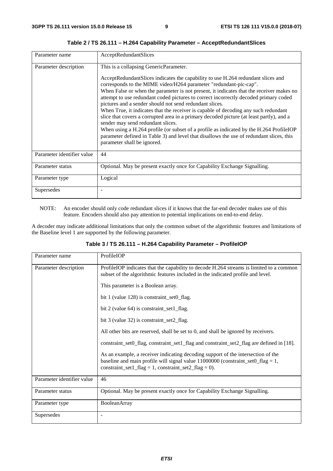| Parameter name             | AcceptRedundantSlices                                                                                                                                                                                                                                                                                                                                                                                                                                                                                                                                                                                                                                                                                                                                                                                                                              |
|----------------------------|----------------------------------------------------------------------------------------------------------------------------------------------------------------------------------------------------------------------------------------------------------------------------------------------------------------------------------------------------------------------------------------------------------------------------------------------------------------------------------------------------------------------------------------------------------------------------------------------------------------------------------------------------------------------------------------------------------------------------------------------------------------------------------------------------------------------------------------------------|
| Parameter description      | This is a collapsing GenericParameter.                                                                                                                                                                                                                                                                                                                                                                                                                                                                                                                                                                                                                                                                                                                                                                                                             |
|                            | AcceptRedundantSlices indicates the capability to use H.264 redundant slices and<br>corresponds to the MIME video/H264 parameter "redundant-pic-cap".<br>When False or when the parameter is not present, it indicates that the receiver makes no<br>attempt to use redundant coded pictures to correct incorrectly decoded primary coded<br>pictures and a sender should not send redundant slices.<br>When True, it indicates that the receiver is capable of decoding any such redundant<br>slice that covers a corrupted area in a primary decoded picture (at least partly), and a<br>sender may send redundant slices.<br>When using a H.264 profile (or subset of a profile as indicated by the H.264 ProfileIOP<br>parameter defined in Table 3) and level that disallows the use of redundant slices, this<br>parameter shall be ignored. |
| Parameter identifier value | 44                                                                                                                                                                                                                                                                                                                                                                                                                                                                                                                                                                                                                                                                                                                                                                                                                                                 |
| Parameter status           | Optional. May be present exactly once for Capability Exchange Signalling.                                                                                                                                                                                                                                                                                                                                                                                                                                                                                                                                                                                                                                                                                                                                                                          |
| Parameter type             | Logical                                                                                                                                                                                                                                                                                                                                                                                                                                                                                                                                                                                                                                                                                                                                                                                                                                            |
| Supersedes                 |                                                                                                                                                                                                                                                                                                                                                                                                                                                                                                                                                                                                                                                                                                                                                                                                                                                    |

**Table 2 / TS 26.111 – H.264 Capability Parameter – AcceptRedundantSlices** 

NOTE: An encoder should only code redundant slices if it knows that the far-end decoder makes use of this feature. Encoders should also pay attention to potential implications on end-to-end delay.

A decoder may indicate additional limitations that only the common subset of the algorithmic features and limitations of the Baseline level 1 are supported by the following parameter.

| Parameter name             | ProfileIOP                                                                                                                                                                                                                        |  |  |  |  |
|----------------------------|-----------------------------------------------------------------------------------------------------------------------------------------------------------------------------------------------------------------------------------|--|--|--|--|
| Parameter description      | ProfileIOP indicates that the capability to decode H.264 streams is limited to a common<br>subset of the algorithmic features included in the indicated profile and level.                                                        |  |  |  |  |
|                            | This parameter is a Boolean array.                                                                                                                                                                                                |  |  |  |  |
|                            | bit 1 (value $128$ ) is constraint_set $0$ _flag.                                                                                                                                                                                 |  |  |  |  |
|                            | bit 2 (value 64) is constraint_set1_flag.                                                                                                                                                                                         |  |  |  |  |
|                            | bit 3 (value 32) is constraint_set2_flag.                                                                                                                                                                                         |  |  |  |  |
|                            | All other bits are reserved, shall be set to 0, and shall be ignored by receivers.                                                                                                                                                |  |  |  |  |
|                            | constraint_set0_flag, constraint_set1_flag and constraint_set2_flag are defined in [18].                                                                                                                                          |  |  |  |  |
|                            | As an example, a receiver indicating decoding support of the intersection of the<br>baseline and main profile will signal value $11000000$ (constraint_set $0$ _flag = 1,<br>constraint_set1_flag = 1, constraint_set2_flag = 0). |  |  |  |  |
| Parameter identifier value | 46                                                                                                                                                                                                                                |  |  |  |  |
| Parameter status           | Optional. May be present exactly once for Capability Exchange Signalling.                                                                                                                                                         |  |  |  |  |
| Parameter type             | BooleanArray                                                                                                                                                                                                                      |  |  |  |  |
| Supersedes                 |                                                                                                                                                                                                                                   |  |  |  |  |

**Table 3 / TS 26.111 – H.264 Capability Parameter – ProfileIOP**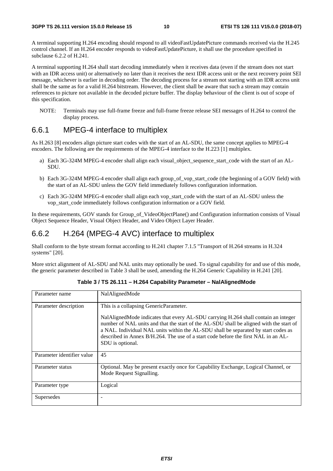A terminal supporting H.264 encoding should respond to all videoFastUpdatePicture commands received via the H.245 control channel. If an H.264 encoder responds to videoFastUpdatePicture, it shall use the procedure specified in subclause 6.2.2 of H.241.

A terminal supporting H.264 shall start decoding immediately when it receives data (even if the stream does not start with an IDR access unit) or alternatively no later than it receives the next IDR access unit or the next recovery point SEI message, whichever is earlier in decoding order. The decoding process for a stream not starting with an IDR access unit shall be the same as for a valid H.264 bitstream. However, the client shall be aware that such a stream may contain references to picture not available in the decoded picture buffer. The display behaviour of the client is out of scope of this specification.

NOTE: Terminals may use full-frame freeze and full-frame freeze release SEI messages of H.264 to control the display process.

#### 6.6.1 MPEG-4 interface to multiplex

As H.263 [8] encoders align picture start codes with the start of an AL-SDU, the same concept applies to MPEG-4 encoders. The following are the requirements of the MPEG-4 interface to the H.223 [1] multiplex.

- a) Each 3G-324M MPEG-4 encoder shall align each visual object sequence start code with the start of an AL-SDU.
- b) Each 3G-324M MPEG-4 encoder shall align each group\_of\_vop\_start\_code (the beginning of a GOV field) with the start of an AL-SDU unless the GOV field immediately follows configuration information.
- c) Each 3G-324M MPEG-4 encoder shall align each vop\_start\_code with the start of an AL-SDU unless the vop\_start\_code immediately follows configuration information or a GOV field.

In these requirements, GOV stands for Group of VideoObjectPlane() and Configuration information consists of Visual Object Sequence Header, Visual Object Header, and Video Object Layer Header.

#### 6.6.2 H.264 (MPEG-4 AVC) interface to multiplex

Shall conform to the byte stream format according to H.241 chapter 7.1.5 "Transport of H.264 streams in H.324 systems" [20].

More strict alignment of AL-SDU and NAL units may optionally be used. To signal capability for and use of this mode, the generic parameter described in Table 3 shall be used, amending the H.264 Generic Capability in H.241 [20].

| Parameter name             | NalAlignedMode                                                                                                                                                                                                                                                                                                                                                                |  |  |  |  |
|----------------------------|-------------------------------------------------------------------------------------------------------------------------------------------------------------------------------------------------------------------------------------------------------------------------------------------------------------------------------------------------------------------------------|--|--|--|--|
| Parameter description      | This is a collapsing GenericParameter.                                                                                                                                                                                                                                                                                                                                        |  |  |  |  |
|                            | NalAlignedMode indicates that every AL-SDU carrying H.264 shall contain an integer<br>number of NAL units and that the start of the AL-SDU shall be aligned with the start of<br>a NAL. Individual NAL units within the AL-SDU shall be separated by start codes as<br>described in Annex B/H.264. The use of a start code before the first NAL in an AL-<br>SDU is optional. |  |  |  |  |
| Parameter identifier value | 45                                                                                                                                                                                                                                                                                                                                                                            |  |  |  |  |
| Parameter status           | Optional. May be present exactly once for Capability Exchange, Logical Channel, or<br>Mode Request Signalling.                                                                                                                                                                                                                                                                |  |  |  |  |
| Parameter type             | Logical                                                                                                                                                                                                                                                                                                                                                                       |  |  |  |  |
| Supersedes                 |                                                                                                                                                                                                                                                                                                                                                                               |  |  |  |  |

**Table 3 / TS 26.111 – H.264 Capability Parameter – NalAlignedMode**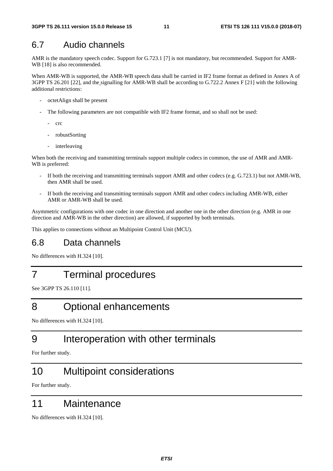#### 6.7 Audio channels

AMR is the mandatory speech codec. Support for G.723.1 [7] is not mandatory, but recommended. Support for AMR-WB [18] is also recommended.

When AMR-WB is supported, the AMR-WB speech data shall be carried in IF2 frame format as defined in Annex A of 3GPP TS 26.201 [22], and the signalling for AMR-WB shall be according to G.722.2 Annex F [21] with the following additional restrictions:

- octetAlign shall be present
- The following parameters are not compatible with IF2 frame format, and so shall not be used:
	- crc
	- robustSorting
	- interleaving

When both the receiving and transmitting terminals support multiple codecs in common, the use of AMR and AMR-WB is preferred:

- If both the receiving and transmitting terminals support AMR and other codecs (e.g. G.723.1) but not AMR-WB, then AMR shall be used.
- If both the receiving and transmitting terminals support AMR and other codecs including AMR-WB, either AMR or AMR-WB shall be used.

Asymmetric configurations with one codec in one direction and another one in the other direction (e.g. AMR in one direction and AMR-WB in the other direction) are allowed, if supported by both terminals.

This applies to connections without an Multipoint Control Unit (MCU).

### 6.8 Data channels

No differences with H.324 [10].

## 7 Terminal procedures

See 3GPP TS 26.110 [11].

### 8 Optional enhancements

No differences with H.324 [10].

## 9 Interoperation with other terminals

For further study.

## 10 Multipoint considerations

For further study.

### 11 Maintenance

No differences with H.324 [10].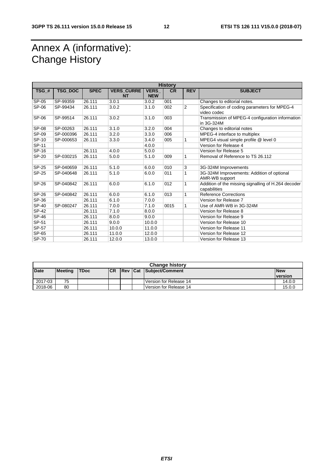# Annex A (informative): Change History

| <b>History</b> |           |             |                                |                           |           |                |                                                                     |
|----------------|-----------|-------------|--------------------------------|---------------------------|-----------|----------------|---------------------------------------------------------------------|
| $TSG$ #        | TSG_DOC   | <b>SPEC</b> | <b>VERS CURRE</b><br><b>NT</b> | <b>VERS</b><br><b>NEW</b> | <b>CR</b> | <b>REV</b>     | <b>SUBJECT</b>                                                      |
| SP-05          | SP-99359  | 26.111      | 3.0.1                          | 3.0.2                     | 001       |                | Changes to editorial notes.                                         |
| SP-06          | SP-99434  | 26.111      | 3.0.2                          | 3.1.0                     | 002       | $\overline{2}$ | Specification of coding parameters for MPEG-4<br>video codec        |
| SP-06          | SP-99514  | 26.111      | 3.0.2                          | 3.1.0                     | 003       |                | Transmission of MPEG-4 configuration information<br>in 3G-324M      |
| <b>SP-08</b>   | SP-00263  | 26.111      | 3.1.0                          | 3.2.0                     | 004       |                | Changes to editorial notes                                          |
| SP-09          | SP-000396 | 26.111      | 3.2.0                          | 3.3.0                     | 006       |                | MPEG-4 interface to multiplex                                       |
| SP-10          | SP-000653 | 26.111      | 3.3.0                          | 3.4.0                     | 005       | 1              | MPEG4 visual simple profile @ level 0                               |
| SP-11          |           |             |                                | 4.0.0                     |           |                | Version for Release 4                                               |
| SP-16          |           | 26.111      | 4.0.0                          | 5.0.0                     |           |                | Version for Release 5                                               |
| SP-20          | SP-030215 | 26.111      | 5.0.0                          | 5.1.0                     | 009       | 1              | Removal of Reference to TS 26.112                                   |
|                |           |             |                                |                           |           |                |                                                                     |
| SP-25          | SP-040659 | 26.111      | 5.1.0                          | 6.0.0                     | 010       | 3              | 3G-324M Improvements                                                |
| SP-25          | SP-040648 | 26.111      | 5.1.0                          | 6.0.0                     | 011       | 1              | 3G-324M Improvements: Addition of optional<br>AMR-WB support        |
| SP-26          | SP-040842 | 26.111      | 6.0.0                          | 6.1.0                     | 012       | 1              | Addition of the missing signalling of H.264 decoder<br>capabilities |
| SP-26          | SP-040842 | 26.111      | 6.0.0                          | 6.1.0                     | 013       | 1              | <b>Reference Corrections</b>                                        |
| SP-36          |           | 26.111      | 6.1.0                          | 7.0.0                     |           |                | Version for Release 7                                               |
| SP-40          | SP-080247 | 26.111      | 7.0.0                          | 7.1.0                     | 0015      | 1              | Use of AMR-WB in 3G-324M                                            |
| SP-42          |           | 26.111      | 7.1.0                          | 8.0.0                     |           |                | Version for Release 8                                               |
| <b>SP-46</b>   |           | 26.111      | 8.0.0                          | 9.0.0                     |           |                | Version for Release 9                                               |
| SP-51          |           | 26.111      | 9.0.0                          | 10.0.0                    |           |                | Version for Release 10                                              |
| SP-57          |           | 26.111      | 10.0.0                         | 11.0.0                    |           |                | Version for Release 11                                              |
| SP-65          |           | 26.111      | 11.0.0                         | 12.0.0                    |           |                | Version for Release 12                                              |
| <b>SP-70</b>   |           | 26.111      | 12.0.0                         | 13.0.0                    |           |                | Version for Release 13                                              |

| <b>Change history</b>                                                          |    |  |            |  |  |                        |                |
|--------------------------------------------------------------------------------|----|--|------------|--|--|------------------------|----------------|
| <b>Date</b><br>Rev Cat Subject/Comment<br><b>ICR</b><br>Meeting<br><b>TDoc</b> |    |  | <b>New</b> |  |  |                        |                |
|                                                                                |    |  |            |  |  |                        | <b>version</b> |
| 2017-03                                                                        | 75 |  |            |  |  | Version for Release 14 | 14.0.0         |
| 2018-06                                                                        | 80 |  |            |  |  | Version for Release 14 | 15.0.0         |